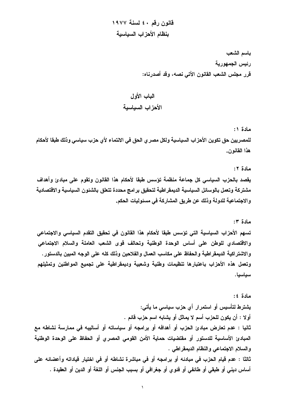قانون رقم ٤٠ لسنة ١٩٧٧ بنظام الأحزاب السياسية

> باسم الشعب رئيس الجمهورية قرر مجلس الشعب القانون الآتي نصه، وقد أصدرناه:

# الباب الأول الأحز اب السباسبة

مادة ۱:

للمصر بين حق تكوين الأحز اب السياسية ولكل مصر ي الحق في الانتماء لأي حزب سياسي وذلك طبقا لأحكام هذا القانون.

مادة ٢:

يقصد بالحزب السياسي كل جماعة منظمة تؤسس طبقا لأحكام هذا القانون وتقوم على مبادئ وأهداف مشتركة وتعمل بالوسائل السياسية الديمقراطية لتحقيق برامج محددة تتعلق بالشئون السياسية والاقتصادية و الاجتماعية للدولة وذلك عن طريق المشاركة في مسئوليات الحكم.

#### مادة ٣:

تسهم الأحزاب السياسية التي تؤسس طبقا لأحكام هذا القانون في تحقيق التقدم السياسي والاجتماعي والاقتصادى للوطن على أساس الوحدة الوطنية وتحالف قوى الشعب العاملة والسلام الاجتماعي والاشتراكية الديمقراطية والحفاظ على مكاسب العمال والفلاحين وذلك كله على الوجه المبين بالدستور . وتعمل هذه الأحزاب باعتبارها تنظيمات وطنية وشعبية وديمقراطية على تجميع المواطنين وتمثيلهم سياسيا.

مادة ٤: يشترط لتأسيس أو استمرار أي حزب سياسي ما يأتي: أولا : أن يكون للحزب أسم لا يماثل أو يشابه اسم حزب قائم . ثانيا : عدم تعارض مبادئ الحزب أو أهدافه أو برامجه أو سياساته أو أساليبه في ممارسة نشاطه مع المبادئ الأساسية للدستور أو مقتضيات حماية الأمن القومي المصرى أو الحفاظ على الوحدة الوطنية والسلام الاجتماعي والنظام الديمقراطي . ثالثا : عدم قيام الحزب في مبادئه أو برامجه أو في مباشرة نشاطه أو في اختيار قياداته وأعضائه على أساس ديني أو طبقي أو طائفي أو فئوي أو جغرافي أو بسبب الجنس أو اللغة أو الدين أو العقيدة .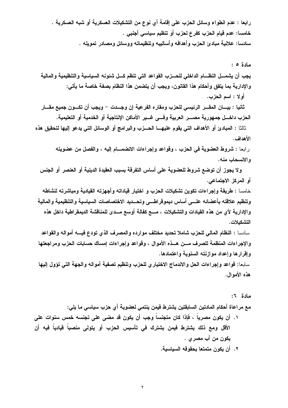رابعا : عدم انطواء وسائل الحزب على إقامة أي نوع من التشكيلات العسكرية أو شبه العسكرية . خامسا: عدم قيام الحزب كفرع لحزب أو تنظيم سياسي أجنبي . سادسا: علانية مبادئ الحزب وأهدافه وأساليبه وتنظيماته ووسائل ومصادر تمويله .

مادة ٥: يجب أن يشمـــل النظـــام الداخلي للحـــزب القواعد التي تنظم كـــل شئونـه السياسيـة والتنظيميـة والماليـة والإدارية بما يتفق وأحكام هذا القانون، ويجب أن يتضمن هذا النظام بصفة خاصة ما يأتي: أولا : اسم الحزب.

ثانيا : بيـــان المقـــر الرئيسي للحزب ومقاره الفرعية إن وجـــدت – ويجب أن تكـــون جميع مقـــار الحزب داخـــل جمهورية مصـــر العربية وفــــى غـــير الأماكن الإنتاجية أو الخدمية أو التعليمية.

ثالثا : المبادئ أو الأهداف التي يقوم عليهـــا الحـــزب والبرامج أو الوسائل التي يدعو إليها لتحقيق هذه الأهداف.

رابعا : شروط العضوية في الحزب ، وقواعد وإجراءات الانضمـــام إليه ، والفصل من عضويته و الانسحاب منه.

ولا يجوز أن توضع شروط للعضوية على أساس التفرقة بسبب العقيدة الدينية أو العنصر أو الجنس أو المركز الاجتماعي.

خامسا : طريقة وإجراءات تكوين تشكيلات الحزب و اختيار قياداته وأجهزته القيادية ومباشرته لنشاطه وتنظيم علاقته بأعضائه علـــي أساس ديموقراطـــي وتحـــديد الاختصاصات السياسية والتنظيمية والمالية والإدارية لأى من هذه القيادات والتشكيلات ، مـــع كفالـة أوسـع مـــدى للمناقشـة الديمقراطيـة داخل هذه التشكيلات.

و الإجر إءات المنظمة للصر ف مــــن هـــذه الأموال ، وقواعد وإجر إءات إمساك حسابات الحزب ومراجعتها وإقرارها وإعداد موازنته السنوية واعتمادها.

سابعا: قواعد وإجراءات الحل والاندماج الاختياري للحزب وتنظيم تصفية أمواله والجهة التي تؤول إليها هذه الأموال.

مادة ٦: مع مراعاة أحكام المادتين السابقتين يشترط فيمن ينتمي لعضوية أي حزب سياسي ما يلي: ١. أن يكون مصرياً ، فإذا كان متجنساً وجب أن يكون قد مضى على تجنسه خمس سنوات على الأقل ومع ذلك يشترط فيمن يشترك في تأسيس الحزب أو يتولى منصباً قيادياً فيه أن يكون من أب مصر ي . ٢. أن يكون متمتعا بحقوقه السياسية.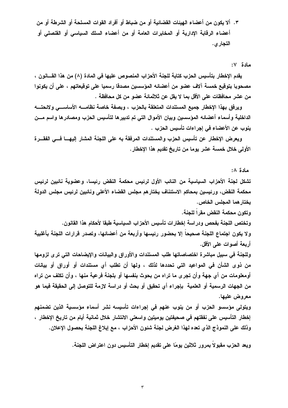٣. ألا يكون من أعضاء الـهيئات القضائيـة أو من ضباط أو أفراد القوات المسلحة أو الشرطة أو من أعضاء الرقابة الإدارية أو المخابرات العامة أو من أعضاء السلك السياسي أو القنصلي أو التجار ي.

مادة ٧:

يقدم الإخطار بتأسيس الحزب كتابة للجنة الأحزاب المنصوص عليها في المادة (٨) من هذا القـــانون ، مصحوبا بتوقيع خمسة آلاف عضو من أعضائه المؤسسين مصدقا رسميا على توقيعاتهم ، على أن يكونوا من عشر محافظات على الأقل بما لا يقل عن ثلاثمائـة عضو من كل محافظة .

ويرفق بهذا الإخطار جميع المستندات المتعلقة بالحزب ، وبصفة خاصة نظامــــــــــــــــــــــــــــــــــ ولائحتــــــــه الداخلية وأسماء أعضائه المؤسسين وييان الأموال التي تم تدبيرها لتأسيس الحزب ومصادرها واسم مسن ينوب عن الأعضاء في إجراءات تأسيس الحزب .

ويعرض الإخطار عن تأسيس الحزب والمستندات المرفقة به على اللجنة المشار إليهــــا فـــى الفقــــرة الأولى خلال خمسة عشر يوما من تاريخ تقديم هذا الإخطار .

مادة ∧:

تشكل لجنة الأحزاب السياسية من النائب الأول لرئيس محكمة النقض رئيسا، وعضوية نائبين لرئيس محكمة النقض، ورئيسين بمحاكم الاستئناف يختارهم مجلس القضاء الأعلى ونائبين لرئيس مجلس الدولة يختار هما المجلس الخاص.

وتكون محكمة النقض مقر ا للجنة. وتختص اللجنة بفحص ودراسة إخطارات تأسيس الأحزاب السياسية طبقا لأحكام هذا القانون. ولا يكون اجتماع اللجنة صحيحا إلا بحضور رئيسها وأربعة من أعضائها، وتصدر قرارات اللجنة بأغلبية

أريعة أصوات علم الأقل.

وللجنة في سبيل مباشرة اختصاصاتها طلب المستندات والأوراق والبيانات والإيضاحات التي ترى لزومها من ذوى الشأن في المواعيد التي تحددها لذلك ، ولمها أن تطلب أي مستندات أو أوراق أو بيانات أومعلومات من أي جهة وأن تجري ما تراه من بحوث بنفسها أو بلجنة فرعية منها ، وأن تكلف من تراه من الجهات الرسمية أو العلمية بإجراء أي تحقيق أو بحث أو دراسة لازمة للتوصل إلى الحقيقة فيما هو معروض عليها.

ويتولى مؤسسو الحزب أو من ينوب عنهم في إجراءات تأسيسه نشر أسماء مؤسسية الذين تضمنهم إخطار التأسيس على نفقتهم في صحيفتين يوميتين واسعتي الانتشار خلال ثمانية أيام من تاريخ الإخطار ، وذلك على النموذج الذي تعده لهذا الغرض لجنة شئون الأحزاب ، مع إبلاغ اللجنة بحصول الإعلان.

ويعد الحزب مقبولا بمرور ثلاثين يومًا على تقديم إخطار التأسيس دون اعتراض اللجنة.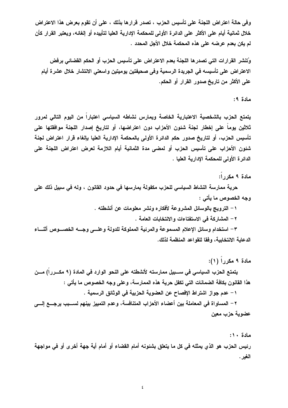وفي حالة اعتراض اللجنة على تأسيس الحزب ، تصدر قرارها بذلك ، على أن تقوم بعرض هذا الاعتراض خلال ثمانية أيام على الأكثر على الدائرة الأولى للمحكمة الإدارية العليا لتأييده أو إلغائه، ويعتبر القرار كأن لم يكن بعدم عرضه على هذه المحكمة خلال الأجل المحدد .

وُتنشر القرارات التي تصدرها اللجنة بعدم الاعتراض على تأسيس الحزب أو الحكم القضائي برفض الاعتراض على تأسيسه في الجريدة الرسمية وفي صحيفتين يوميتين واسعتي الانتشار خلال عشرة أيام على الأكثر من تاريخ صدور القرار أو الحكم.

#### مادة ٩:

يتمتع الحزب بالشخصية الاعتبارية الخاصة ويمارس نشاطه السياسى اعتباراً من اليوم التالى لمرور ثلاثين يوما على إخطار لجنة شئون الأحزاب دون اعتراضها، أو لتاريخ إصدار اللجنة موافقتها على تأسيس الحزب، أو لتاريخ صدور حكم الدائرة الأولى بالمحكمة الادارية العليا بالغاء قرار اعتراض لجنة شئون الأحزاب على تأسيس الحزب أو لمضى مدة الثمانية أيام اللازمة لعرض اعتراض اللجنة على الدائر ة الأولى للمحكمة الادارية العلبا .

مادة ٩ مكررا:

حرية ممارسة النشاط السياسي للحزب مكفولة يمارسها في حدود القانون ، وله في سبيل ذلك على وجه الخصوص ما يأتي :

١ – الترويج بالوسائل المشروعة لأفكاره ونشر معلومات عن أنشطته .

٢ – المشاركة في الاستفتاءات والانتخابات العامة .

٣– استخدام وسائل الإعلام المسموعة والمرئية المملوكة للدولة وعلـــى وجــــه الخصــــوص أثنــــاء الدعابة الانتخابية، وفقا للقواعد المنظمة لذلك.

مادة ٩ مكررا (١):

يتمتع الحزب السياسي في ســـبيل ممارسته لأتشطته على النحو الوارد في المادة (٩ مكـــرراً) مـــن هذا القانون بكافة الضمانات التي تكفل حرية هذه الممارسة، و على وجه الخصوص ما يأتي :

١ – عدم جواز اشتراط الإفصاح عن العضوية الحزبية في الوثائق الرسمية .

٢ – المساواة في المعاملة بين أعضاء الأحزاب المتنافسة، وعدم التمييز بينهم لســـبب يرجـــع إلــــي عضوية حزب معين

مادة ١٠:

رئيس الحزب هو الذي يمثله في كل ما يتعلق بشئونه أمام القضاء أو أمام أية جهة أخرى أو في مواجهة الغير .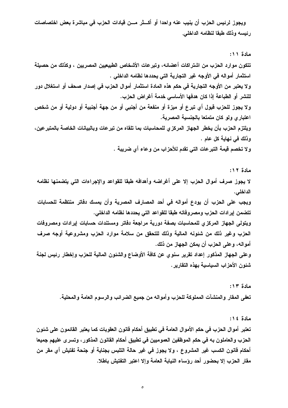ويجوز لرئيس الحزب أن ينيب عنه واحدا أو أكـــثر مـــن قيادات الحزب في مباشرة بعض اختصاصات رئيسه وذلك طبقا لنظامه الداخلي.

مادة ١١: تتكون موارد الحزب من اشتراكات أعضائه، وتبرعات الأشخاص الطبيعيين المصريين ، وكذلك من حصيلة استثمار أمواله في الأوجه غير التجارية التي يحددها نظامه الداخلي . ولا يعتبر من الأوجه التجارية في حكم هذه المادة استثمار أموال الحزب في إصدار صحف أو استغلال دور للنشر أو الطباعة إذا كان هدفها الأساسي خدمة أغراض الحزب. ولا يجوز للحزب قبول أي تبرع أو ميزة أو منفعة من أجنبي أو من جهة أجنبية أو دولية أو من شخص اعتبار ي ولو كان متمتعا بالجنسية المصرية. ويلتزم الحزب بأن يخطر الجهاز المركزي للمحاسبات بما تلقاه من تبرعات وبالبيانات الخاصة بالمتبرعين، وذلك في نـهايـة كل عام . ولا تخصم فيمة التبرعات التي تقدم للأحزاب من وعاء أي ضريبة .

مادة ١٢: لا يجوز صرف أموال الحزب إلا على أغراضه وأهدافه طبقا للقواعد والإجراءات التي يتضمنها نظامه الداخلي. ويجب على الحزب أن يودع أمواله في أحد المصارف المصرية وأن يمسك دفاتر منتظمة للحسابات تتضمن إيرادات الحزب ومصروفاته طبقا للقواعد التي يحددها نظامه الداخلي. ويتولى الجهاز المركزى للمحاسبات بصفة دورية مراجعة دفاتر ومستندات حسابات إيرادات ومصروفات الحزب وغير ذلك من شئونه المالية وذلك للتحقق من سلامة موارد الحزب ومشروعية أوجه صرف أمواله، وعلى الحزب أن يمكن الجهاز من ذلك. وعلى الجهاز المذكور إعداد تقرير سنوى عن كافة الأوضاع والشئون المالية للحزب وإخطار رئيس لجنة شئون الأحزاب السياسية بهذه التقارير .

> مادة ١٣: تعفي المقار والمنشآت المملوكة للحزب وأمواله من جميع الضرائب والرسوم العامة والمحلية.

> > مادة ١٤:

تعتبر أموال الحزب في حكم الأموال العامة في تطبيق أحكام قانون العقوبات كما يعتبر القائمون على شئون الحزب والعاملون به في حكم الموظفين العموميين في تطبيق أحكام القانون المذكور ، وتسر ي عليهم جميعا أحكام قانون الكسب غير المشروع ، ولا يجوز في غير حالة التلبس بجناية أو جنحة تفتيش أي مقر من مقار الحزب إلا بحضور أحد رؤساء النيابة العامة وإلا اعتبر التفتيش باطلا.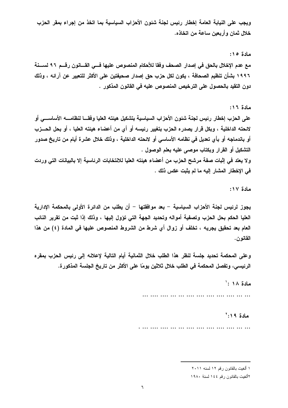ويجب على النيابة العامة إخطار رئيس لجنة شئون الأحزاب السياسية بما اتخذ من إجراء بمقر الحزب خلال ثمان وأربعين ساعة من اتخاذه.

مادة ١٥: مع عدم الإخلال بالحق في إصدار الصحف وفقا للأحكام المنصوص عليها فـــي القـــانون رقـــم ٩٦ لســـنـة ١٩٩٦ بشأن تنظيم الصحافة ، يكون لكل حزب حق إصدار صحيفتين على الأكثر للتعبير عن آرائه ، وذلك دون التقيد بالحصول على الترخيص المنصوص عليه في القانون المذكور .

مادة ١٦:

على الحزب إخطار رئيس لجنة شئون الأحزاب السياسية بتشكيل هيئته العليا وفقـــا لنظامــــه الأساســــى أو لائحته الداخلية ، وبكل قرار يصدره الحزب بتغيير رئيسه أو أي من أعضاء هيئته العليا ، أو بحل الحـــزب أو باندماجه أو بأي تعديل في نظامه الأساسي أو لائحته الداخلية ، وذلك خلال عشرة أيام من تاريخ صدور التشكيل أو القرار وبكتاب موصبي عليه بعلم الوصول .

ولا يعتد في إثبات صفة مرشح الحزب من أعضاء هيئته العليا للانتخابات الرئاسية إلا بالبيانات التي وردت في الإخطار المشار إليه ما لم يثبت عكس ذلك .

مادة ١٧:

يجوز لرئيس لجنة الأحزاب السياسية – بعد موافقتها – أن يطلب من الدائرة الأولى بالمحكمة الادارية العليا الحكم بحل الحزب وتصفية أمواله وتحديد الجهة التي تؤول إليها ، وذلك إذا ثبت من تقرير النائب العام بعد تحقيق يجريه ، تخلف أو زوال أي شرط من الشروط المنصوص عليها في المادة (٤) من هذا القانون.

وعلى المحكمة تحديد جلسة لنظر هذا الطلب خلال الثمانية أيام التالية لإعلانه إلى رئيس الحزب بمقره الرئيسي، وتفصل المحكمة في الطلب خلال ثلاثين يومًا على الأكثر من تاريخ الجلسة المذكورة.

مادة ١٨:

 $5.19$  مادة ١٩

١ ألغيت بالقانون رقم ١٢ لسنه ٢٠١١

٢ألغيت بالقانون رقم ١٤٤ لسنة ١٩٨٠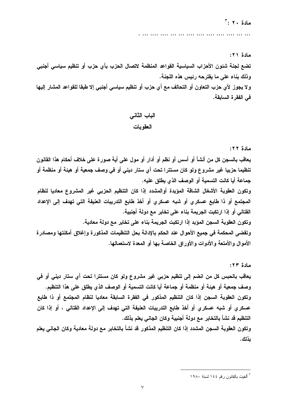مادة ٢١:

تضع لجنة شئون الأحزاب السياسية القواعد المنظمة لاتصال الحزب بأي حزب أو تنظيم سياسي أجنبي وذلك بناء على ما يقترحه رئيس هذه اللجنة.

ولا يجوز لأي حزب التعاون أو التحالف مع أي حزب أو تنظيم سياسي أجنبي إلا طبقا للقواعد المشار إليها في الفقر ة السابقة.

الباب الثاني العقوبات

#### مادة ٢٢:

يعاقب بالسجن كل من أنشأ أو أسس أو نظم أو أدار أو مول على أية صورة على خلاف أحكام هذا القانون تنظيما حزبيا غير مشروع ولو كان مستترا تحت أي ستار ديني أو في وصف جمعية أو هيئة أو منظمة أو جماعة أيا كانت التسمية أو الوصف الذي يطلق عليه.

وتكون العقوبة الأشغال الشاقة المؤبدة أوالمشدد إذا كان التنظيم الحزبي غير المشروع معاديا لنظام المجتمع أو ذا طابع عسكرى أو شبه عسكرى أو أخذ طابع التدريبات العنيفة التي تهدف إلى الإعداد القتالي أو إذا ارتكبت الجريمة بناء على تخابر مع دولة أجنبية.

وتكون العقوبة السجن المؤبد إذا ارتكبت الجريمة بناء على تخابر مع دولة معادية.

وتقضى المحكمة في جميع الأحوال عند الحكم بالإدانة بحل التنظيمات المذكورة وإغلاق أمكنتها ومصادرة الأموال والأمتعة والأدوات والأوراق الخاصة بها أو المعدة لاستعمالها.

مادة ٢٣: يعاقب بالحبس كل من انضم إلى تنظيم حزبي غير مشروع ولو كان مستترا تحت أي ستار ديني أو في وصف جمعية أو هيئة أو منظمة أو جماعة أيا كانت التسمية أو الوصف الذي يطلق على هذا التنظيم. وتكون العقوبة السجن إذا كان التنظيم المذكور في الفقرة السابقة معاديا لنظام المجتمع أو ذا طابع عسكر ي أو شبه عسكر ي أو أخذ طابع التدريبات العنيفة التي تهدف إلى الإعداد القتالي ، أو إذا كان التنظيم قد نشأ بالتخابر مع دولة أجنبية وكان الجاني يعلم بذلك. وتكون العقوبة السجن المشدد إذا كان التنظيم المذكور قد نشأ بالتخابر مع دولة معادية وكان الجاني يعلم

ىذلك.

<sup>&</sup>lt;sup>"</sup> ألغبت بالقانون رقم ١٤٤ لسنة ١٩٨٠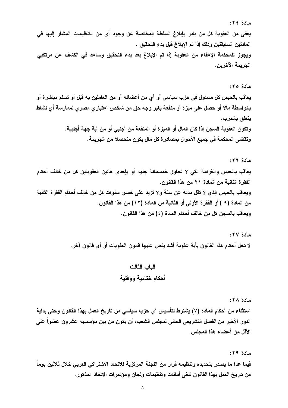مادة ٢٤:

يعفي من العقوبة كل من بادر بإبلاغ السلطة المختصة عن وجود أي من التنظيمات المشار إليها في المادتين السابقتين وذلك إذا تم الإبلاغ قبل بدء التحقيق . ويجوز للمحكمة الإعفاء من العقوبة إذا تم الإبلاغ بعد بدء التحقيق وساعد في الكشف عن مرتكبي الجريمة الآخرين.

مادة ٢٥:

يعاقب بالحبس كل مسئول في حزب سياسي أو أي من أعضائه أو من العاملين به قبل أو تسلم مباشرة أو بالواسطة مالا أو حصل على ميزة أو منفعة بغير وجه حق من شخص اعتبار مصر ى لممارسة أى نشاط يتعلق بالحزب. وتكون العقوبة السجن إذا كان المال أو المبز ة أو المنفعة من أجنبي أو من أية جهة أجنبية. وتقضى المحكمة في جميع الأحوال بمصادرة كل مال يكون متحصلا من الجريمة.

مادة ٢٦: يعاقب بالحبس والغرامة التي لا تجاوز خمسمائة جنيه أو بإحدى هاتين العقوبتين كل من خالف أحكام الفقرة الثانية من المادة ٢١ من هذا القانون. ويعاقب بالحبس الذي لا تقل مدته عن سنة ولا تزيد على خمس سنوات كل من خالف أحكام الفقرة الثانية من المادة (٩ ) أو الفقرة الأولى أو الثانية من المادة (١٢) من هذا القانون. ويعاقب بالسجن كل من خالف أحكام المادة (٤) من هذا القانون.

> مادة ٢٧: لا تخل أحكام هذا القانون بأية عقوبة أشد ينص عليها قانون العقوبات أو أي قانون آخر .

## الباب الثالث أحكام ختامبة ووقتبة

مادة ٢٨: استثناء من أحكام المادة (٧) يشترط لتأسيس أي حزب سياسي من تاريخ العمل بهذا القانون وحتى بداية الدور الأخير من الفصل التشريعي الحالي لمجلس الشعب، أن يكون من بين مؤسسيه عشرون عضوا على الأقل من أعضاء هذا المجلس.

مادة ٢٩: فيما عدا ما يصدر بتحديده وتنظيمه قرار من اللجنة المركزية للاتحاد الاشتراكي العربي خلال ثلاثين يوماً من تاريخ العمل بهذا القانون تلغي أمانات وتنظيمات ولجان ومؤتمرات الاتحاد المذكور .